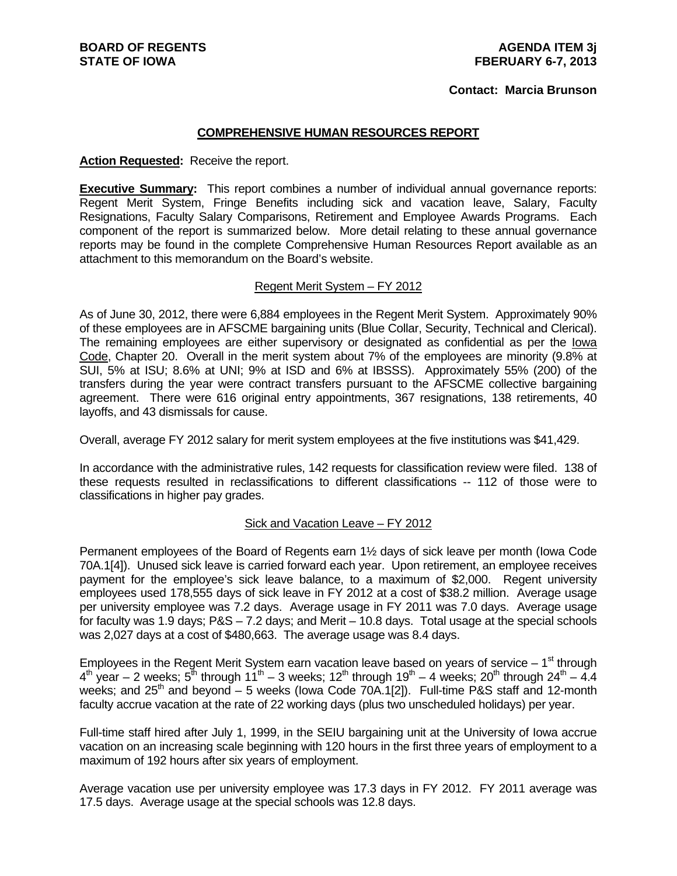#### **Contact: Marcia Brunson**

#### **COMPREHENSIVE HUMAN RESOURCES REPORT**

#### **Action Requested:** Receive the report.

**Executive Summary:** This report combines a number of individual annual governance reports: Regent Merit System, Fringe Benefits including sick and vacation leave, Salary, Faculty Resignations, Faculty Salary Comparisons, Retirement and Employee Awards Programs. Each component of the report is summarized below. More detail relating to these annual governance reports may be found in the complete Comprehensive Human Resources Report available as an attachment to this memorandum on the Board's website.

#### Regent Merit System – FY 2012

As of June 30, 2012, there were 6,884 employees in the Regent Merit System. Approximately 90% of these employees are in AFSCME bargaining units (Blue Collar, Security, Technical and Clerical). The remaining employees are either supervisory or designated as confidential as per the Iowa Code, Chapter 20. Overall in the merit system about 7% of the employees are minority (9.8% at SUI, 5% at ISU; 8.6% at UNI; 9% at ISD and 6% at IBSSS). Approximately 55% (200) of the transfers during the year were contract transfers pursuant to the AFSCME collective bargaining agreement. There were 616 original entry appointments, 367 resignations, 138 retirements, 40 layoffs, and 43 dismissals for cause.

Overall, average FY 2012 salary for merit system employees at the five institutions was \$41,429.

In accordance with the administrative rules, 142 requests for classification review were filed. 138 of these requests resulted in reclassifications to different classifications -- 112 of those were to classifications in higher pay grades.

#### Sick and Vacation Leave – FY 2012

Permanent employees of the Board of Regents earn 1½ days of sick leave per month (Iowa Code 70A.1[4]). Unused sick leave is carried forward each year. Upon retirement, an employee receives payment for the employee's sick leave balance, to a maximum of \$2,000. Regent university employees used 178,555 days of sick leave in FY 2012 at a cost of \$38.2 million. Average usage per university employee was 7.2 days. Average usage in FY 2011 was 7.0 days. Average usage for faculty was 1.9 days; P&S – 7.2 days; and Merit – 10.8 days. Total usage at the special schools was 2,027 days at a cost of \$480,663. The average usage was 8.4 days.

Employees in the Regent Merit System earn vacation leave based on years of service  $-1<sup>st</sup>$  through  $4<sup>th</sup>$  year – 2 weeks;  $5<sup>th</sup>$  through  $11<sup>th</sup>$  – 3 weeks;  $12<sup>th</sup>$  through  $19<sup>th</sup>$  – 4 weeks;  $20<sup>th</sup>$  through  $24<sup>th</sup>$  – 4.4 weeks; and  $25<sup>th</sup>$  and beyond – 5 weeks (lowa Code 70A.1[2]). Full-time P&S staff and 12-month faculty accrue vacation at the rate of 22 working days (plus two unscheduled holidays) per year.

Full-time staff hired after July 1, 1999, in the SEIU bargaining unit at the University of Iowa accrue vacation on an increasing scale beginning with 120 hours in the first three years of employment to a maximum of 192 hours after six years of employment.

Average vacation use per university employee was 17.3 days in FY 2012. FY 2011 average was 17.5 days. Average usage at the special schools was 12.8 days.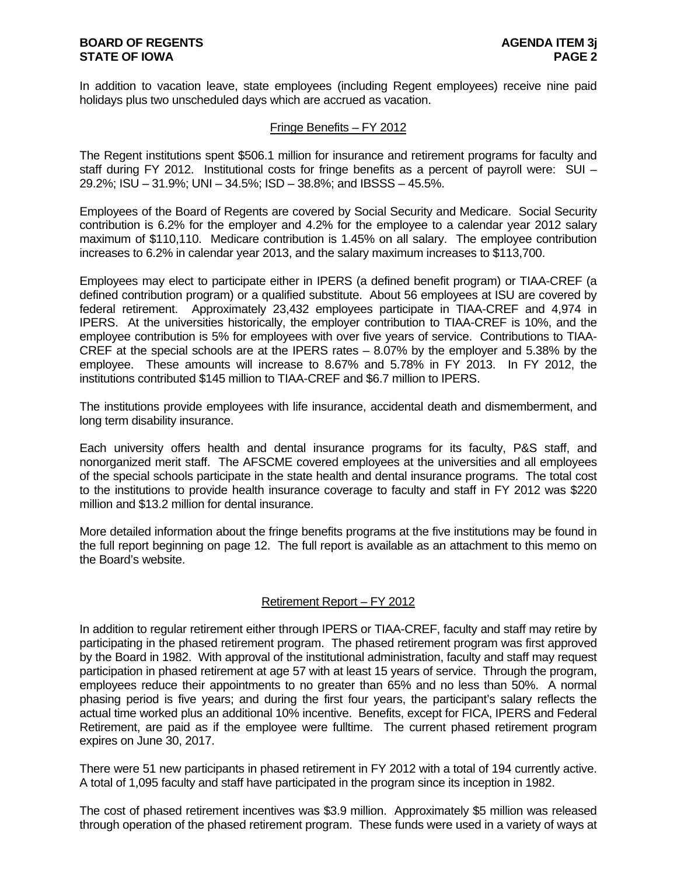In addition to vacation leave, state employees (including Regent employees) receive nine paid holidays plus two unscheduled days which are accrued as vacation.

### Fringe Benefits – FY 2012

The Regent institutions spent \$506.1 million for insurance and retirement programs for faculty and staff during FY 2012. Institutional costs for fringe benefits as a percent of payroll were: SUI – 29.2%; ISU – 31.9%; UNI – 34.5%; ISD – 38.8%; and IBSSS – 45.5%.

Employees of the Board of Regents are covered by Social Security and Medicare. Social Security contribution is 6.2% for the employer and 4.2% for the employee to a calendar year 2012 salary maximum of \$110,110. Medicare contribution is 1.45% on all salary. The employee contribution increases to 6.2% in calendar year 2013, and the salary maximum increases to \$113,700.

Employees may elect to participate either in IPERS (a defined benefit program) or TIAA-CREF (a defined contribution program) or a qualified substitute. About 56 employees at ISU are covered by federal retirement. Approximately 23,432 employees participate in TIAA-CREF and 4,974 in IPERS. At the universities historically, the employer contribution to TIAA-CREF is 10%, and the employee contribution is 5% for employees with over five years of service. Contributions to TIAA-CREF at the special schools are at the IPERS rates – 8.07% by the employer and 5.38% by the employee. These amounts will increase to 8.67% and 5.78% in FY 2013. In FY 2012, the institutions contributed \$145 million to TIAA-CREF and \$6.7 million to IPERS.

The institutions provide employees with life insurance, accidental death and dismemberment, and long term disability insurance.

Each university offers health and dental insurance programs for its faculty, P&S staff, and nonorganized merit staff. The AFSCME covered employees at the universities and all employees of the special schools participate in the state health and dental insurance programs. The total cost to the institutions to provide health insurance coverage to faculty and staff in FY 2012 was \$220 million and \$13.2 million for dental insurance.

More detailed information about the fringe benefits programs at the five institutions may be found in the full report beginning on page 12. The full report is available as an attachment to this memo on the Board's website.

## Retirement Report – FY 2012

In addition to regular retirement either through IPERS or TIAA-CREF, faculty and staff may retire by participating in the phased retirement program. The phased retirement program was first approved by the Board in 1982. With approval of the institutional administration, faculty and staff may request participation in phased retirement at age 57 with at least 15 years of service. Through the program, employees reduce their appointments to no greater than 65% and no less than 50%. A normal phasing period is five years; and during the first four years, the participant's salary reflects the actual time worked plus an additional 10% incentive. Benefits, except for FICA, IPERS and Federal Retirement, are paid as if the employee were fulltime. The current phased retirement program expires on June 30, 2017.

There were 51 new participants in phased retirement in FY 2012 with a total of 194 currently active. A total of 1,095 faculty and staff have participated in the program since its inception in 1982.

The cost of phased retirement incentives was \$3.9 million. Approximately \$5 million was released through operation of the phased retirement program. These funds were used in a variety of ways at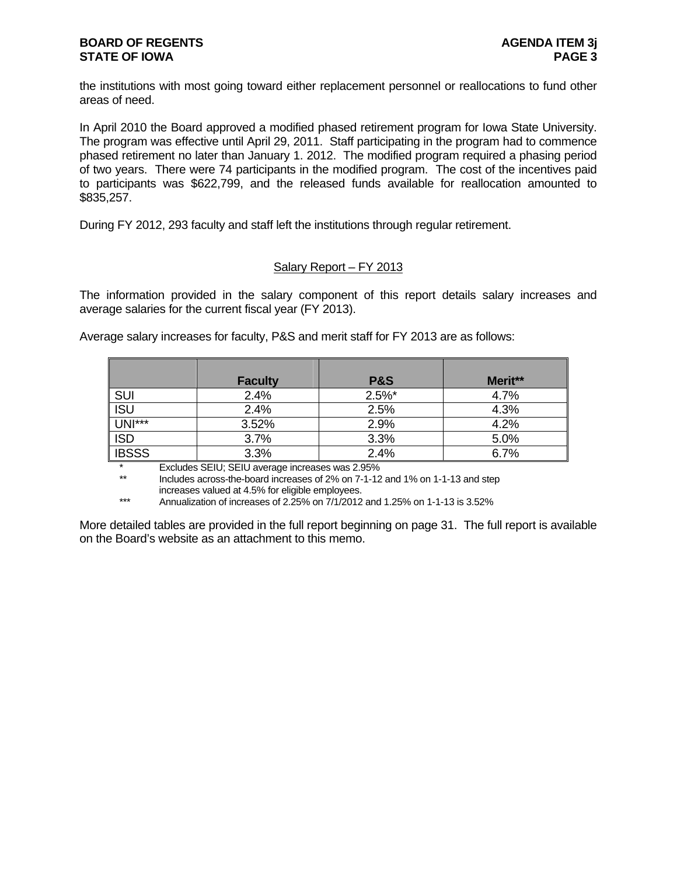the institutions with most going toward either replacement personnel or reallocations to fund other areas of need.

In April 2010 the Board approved a modified phased retirement program for Iowa State University. The program was effective until April 29, 2011. Staff participating in the program had to commence phased retirement no later than January 1. 2012. The modified program required a phasing period of two years. There were 74 participants in the modified program. The cost of the incentives paid to participants was \$622,799, and the released funds available for reallocation amounted to \$835,257.

During FY 2012, 293 faculty and staff left the institutions through regular retirement.

## Salary Report – FY 2013

The information provided in the salary component of this report details salary increases and average salaries for the current fiscal year (FY 2013).

Average salary increases for faculty, P&S and merit staff for FY 2013 are as follows:

|               | <b>Faculty</b> | <b>P&amp;S</b> | Merit** |
|---------------|----------------|----------------|---------|
| <u>SUI</u>    | 2.4%           | $2.5\%$ *      | 4.7%    |
| ISU           | 2.4%           | 2.5%           | 4.3%    |
| <b>UNI***</b> | 3.52%          | 2.9%           | 4.2%    |
| ISD           | 3.7%           | 3.3%           | 5.0%    |
| <b>IBSSS</b>  | 3.3%           | 2.4%           | 6.7%    |

\* Excludes SEIU; SEIU average increases was 2.95%<br>\*\* locudes across-the-board increases of 2% on 7-1-12

Includes across-the-board increases of 2% on 7-1-12 and 1% on 1-1-13 and step increases valued at 4.5% for eligible employees.<br>Appualization of increases of 2.25% on 7/1/2012

Annualization of increases of 2.25% on 7/1/2012 and 1.25% on 1-1-13 is 3.52%

More detailed tables are provided in the full report beginning on page 31. The full report is available on the Board's website as an attachment to this memo.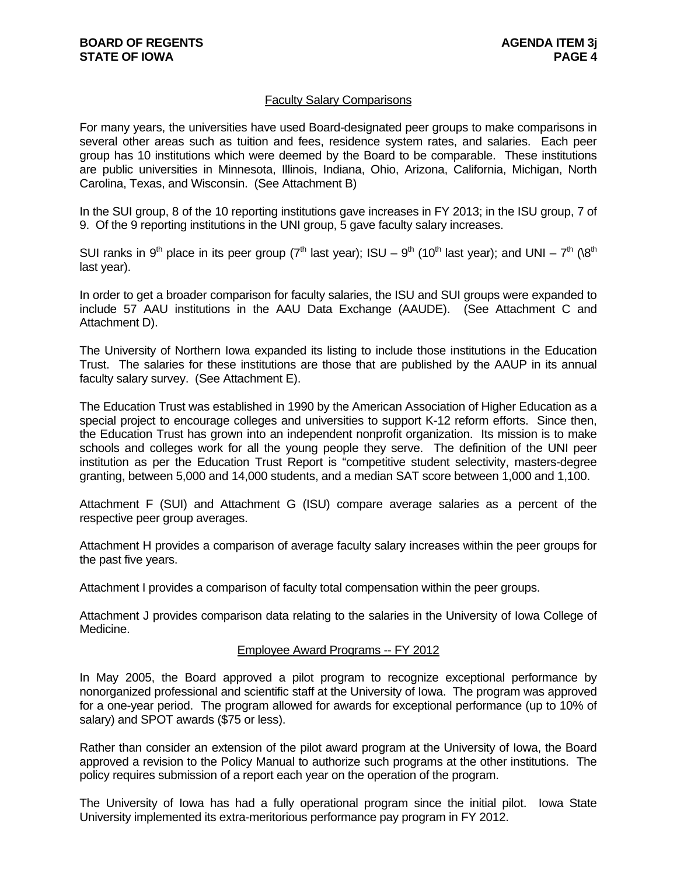## Faculty Salary Comparisons

For many years, the universities have used Board-designated peer groups to make comparisons in several other areas such as tuition and fees, residence system rates, and salaries. Each peer group has 10 institutions which were deemed by the Board to be comparable. These institutions are public universities in Minnesota, Illinois, Indiana, Ohio, Arizona, California, Michigan, North Carolina, Texas, and Wisconsin. (See Attachment B)

In the SUI group, 8 of the 10 reporting institutions gave increases in FY 2013; in the ISU group, 7 of 9. Of the 9 reporting institutions in the UNI group, 5 gave faculty salary increases.

SUI ranks in 9<sup>th</sup> place in its peer group (7<sup>th</sup> last year); ISU – 9<sup>th</sup> (10<sup>th</sup> last year); and UNI – 7<sup>th</sup> (\8<sup>th</sup>) last year).

In order to get a broader comparison for faculty salaries, the ISU and SUI groups were expanded to include 57 AAU institutions in the AAU Data Exchange (AAUDE). (See Attachment C and Attachment D).

The University of Northern Iowa expanded its listing to include those institutions in the Education Trust. The salaries for these institutions are those that are published by the AAUP in its annual faculty salary survey. (See Attachment E).

The Education Trust was established in 1990 by the American Association of Higher Education as a special project to encourage colleges and universities to support K-12 reform efforts. Since then, the Education Trust has grown into an independent nonprofit organization. Its mission is to make schools and colleges work for all the young people they serve. The definition of the UNI peer institution as per the Education Trust Report is "competitive student selectivity, masters-degree granting, between 5,000 and 14,000 students, and a median SAT score between 1,000 and 1,100.

Attachment F (SUI) and Attachment G (ISU) compare average salaries as a percent of the respective peer group averages.

Attachment H provides a comparison of average faculty salary increases within the peer groups for the past five years.

Attachment I provides a comparison of faculty total compensation within the peer groups.

Attachment J provides comparison data relating to the salaries in the University of Iowa College of Medicine.

#### Employee Award Programs -- FY 2012

In May 2005, the Board approved a pilot program to recognize exceptional performance by nonorganized professional and scientific staff at the University of Iowa. The program was approved for a one-year period. The program allowed for awards for exceptional performance (up to 10% of salary) and SPOT awards (\$75 or less).

Rather than consider an extension of the pilot award program at the University of Iowa, the Board approved a revision to the Policy Manual to authorize such programs at the other institutions. The policy requires submission of a report each year on the operation of the program.

The University of Iowa has had a fully operational program since the initial pilot. Iowa State University implemented its extra-meritorious performance pay program in FY 2012.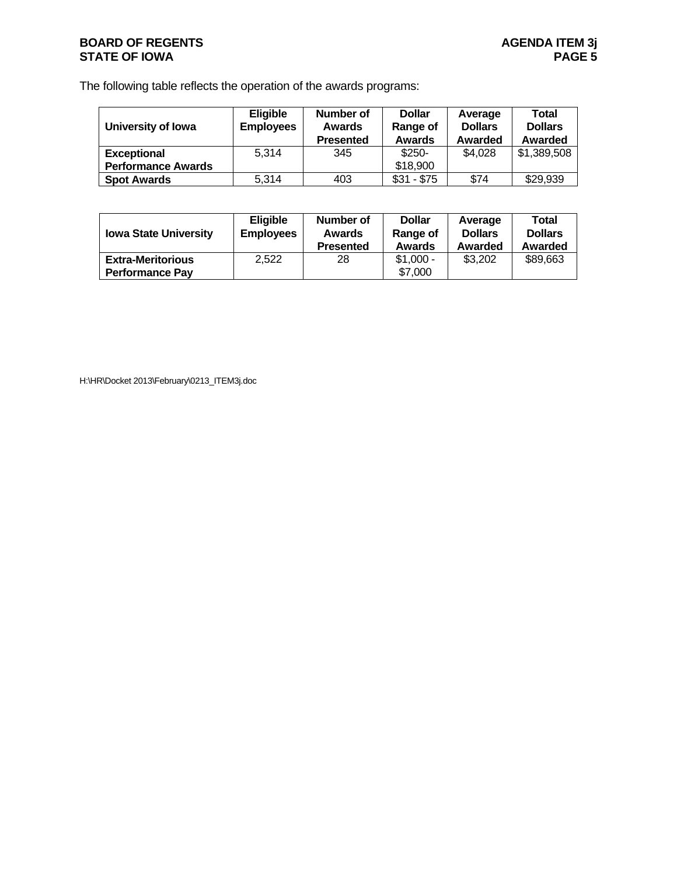## **BOARD OF REGENTS**<br> **BOARD OF REGENTS**<br> **BOARD OF IOWA**<br>
PAGE 5 **STATE OF IOWA**

The following table reflects the operation of the awards programs:

| University of Iowa        | <b>Eligible</b><br><b>Employees</b> | Number of<br><b>Awards</b><br><b>Presented</b> | <b>Dollar</b><br>Range of<br><b>Awards</b> | Average<br><b>Dollars</b><br>Awarded | Total<br><b>Dollars</b><br>Awarded |
|---------------------------|-------------------------------------|------------------------------------------------|--------------------------------------------|--------------------------------------|------------------------------------|
| <b>Exceptional</b>        | 5.314                               | 345                                            | $$250-$                                    | \$4,028                              | \$1,389,508                        |
| <b>Performance Awards</b> |                                     |                                                | \$18,900                                   |                                      |                                    |
| <b>Spot Awards</b>        | 5,314                               | 403                                            | $$31 - $75$                                | \$74                                 | \$29,939                           |

| <b>Iowa State University</b>                       | <b>Eligible</b><br><b>Employees</b> | Number of<br><b>Awards</b><br><b>Presented</b> | <b>Dollar</b><br>Range of<br><b>Awards</b> | Average<br><b>Dollars</b><br>Awarded | Total<br><b>Dollars</b><br>Awarded |
|----------------------------------------------------|-------------------------------------|------------------------------------------------|--------------------------------------------|--------------------------------------|------------------------------------|
| <b>Extra-Meritorious</b><br><b>Performance Pav</b> | 2,522                               | 28                                             | $$1,000 -$<br>\$7,000                      | \$3,202                              | \$89,663                           |

H:\HR\Docket 2013\February\0213\_ITEM3j.doc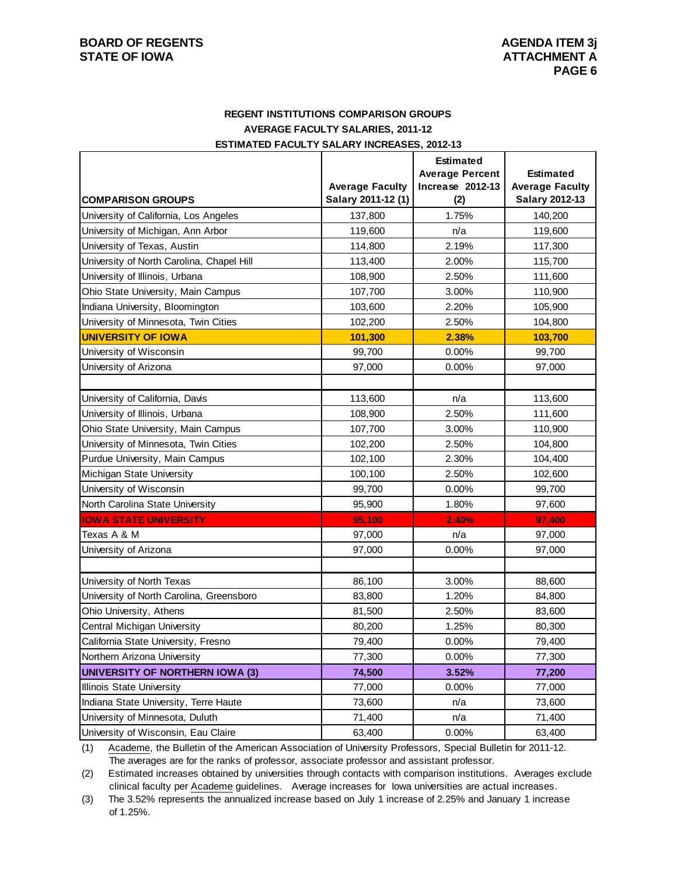## **REGENT INSTITUTIONS COMPARISON GROUPS AVERAGE FACULTY SALARIES, 2011-12 ESTIMATED FACULTY SALARY INCREASES, 2012-13**

|                                           |                                              | <b>Estimated</b>        |                                          |  |
|-------------------------------------------|----------------------------------------------|-------------------------|------------------------------------------|--|
|                                           |                                              | <b>Average Percent</b>  | <b>Estimated</b>                         |  |
| <b>COMPARISON GROUPS</b>                  | <b>Average Faculty</b><br>Salary 2011-12 (1) | Increase 2012-13<br>(2) | <b>Average Faculty</b><br>Salary 2012-13 |  |
| University of California, Los Angeles     |                                              | 1.75%                   |                                          |  |
|                                           | 137,800                                      |                         | 140,200                                  |  |
| University of Michigan, Ann Arbor         | 119,600                                      | n/a                     | 119,600                                  |  |
| University of Texas, Austin               | 114,800                                      | 2.19%                   | 117,300                                  |  |
| University of North Carolina, Chapel Hill | 113,400                                      | 2.00%                   | 115,700                                  |  |
| University of Illinois, Urbana            | 108,900                                      | 2.50%                   | 111,600                                  |  |
| Ohio State University, Main Campus        | 107,700                                      | 3.00%                   | 110,900                                  |  |
| Indiana University, Bloomington           | 103,600                                      | 2.20%                   | 105,900                                  |  |
| University of Minnesota, Twin Cities      | 102,200                                      | 2.50%                   | 104,800                                  |  |
| <b>UNIVERSITY OF IOWA</b>                 | 101,300                                      | 2.38%                   | 103,700                                  |  |
| University of Wisconsin                   | 99,700                                       | 0.00%                   | 99,700                                   |  |
| University of Arizona                     | 97,000                                       | 0.00%                   | 97,000                                   |  |
|                                           |                                              |                         |                                          |  |
| University of California, Davis           | 113,600                                      | n/a                     | 113,600                                  |  |
| University of Illinois, Urbana            | 108,900                                      | 2.50%                   | 111,600                                  |  |
| Ohio State University, Main Campus        | 107,700                                      | 3.00%                   | 110,900                                  |  |
| University of Minnesota, Twin Cities      | 102,200                                      | 2.50%                   | 104,800                                  |  |
| Purdue University, Main Campus            | 102,100                                      | 2.30%                   | 104,400                                  |  |
| Michigan State University                 | 100,100                                      | 2.50%                   | 102,600                                  |  |
| University of Wisconsin                   | 99,700                                       | 0.00%                   | 99,700                                   |  |
| North Carolina State University           | 95,900                                       | 1.80%                   | 97,600                                   |  |
| <b>IOWA STATE UNIVERSITY</b>              | 95,100                                       | 2.40%                   | 97,400                                   |  |
| Texas A & M                               | 97,000                                       | n/a                     | 97,000                                   |  |
| University of Arizona                     | 97,000                                       | 0.00%                   | 97,000                                   |  |
|                                           |                                              |                         |                                          |  |
| University of North Texas                 | 86,100                                       | 3.00%                   | 88,600                                   |  |
| University of North Carolina, Greensboro  | 83,800                                       | 1.20%                   | 84,800                                   |  |
| Ohio University, Athens                   | 81,500                                       | 2.50%                   | 83,600                                   |  |
| Central Michigan University               | 80,200                                       | 1.25%                   | 80,300                                   |  |
| California State University, Fresno       | 79,400                                       | 0.00%                   | 79,400                                   |  |
| Northern Arizona University               | 77,300                                       | 0.00%                   | 77,300                                   |  |
| <b>UNIVERSITY OF NORTHERN IOWA (3)</b>    | 74,500                                       | 3.52%                   | 77,200                                   |  |
| Illinois State University                 | 77,000                                       | 0.00%                   | 77,000                                   |  |
| Indiana State University, Terre Haute     | 73,600                                       | n/a                     | 73,600                                   |  |
| University of Minnesota, Duluth           | 71,400                                       | n/a                     | 71,400                                   |  |
| University of Wisconsin, Eau Claire       | 63,400                                       | 0.00%                   | 63,400                                   |  |

(1) Academe, the Bulletin of the American Association of University Professors, Special Bulletin for 2011-12. The averages are for the ranks of professor, associate professor and assistant professor.

(2) Estimated increases obtained by universities through contacts with comparison institutions. Averages exclude clinical faculty per Academe guidelines. Average increases for Iowa universities are actual increases.

(3) The 3.52% represents the annualized increase based on July 1 increase of 2.25% and January 1 increase of 1.25%.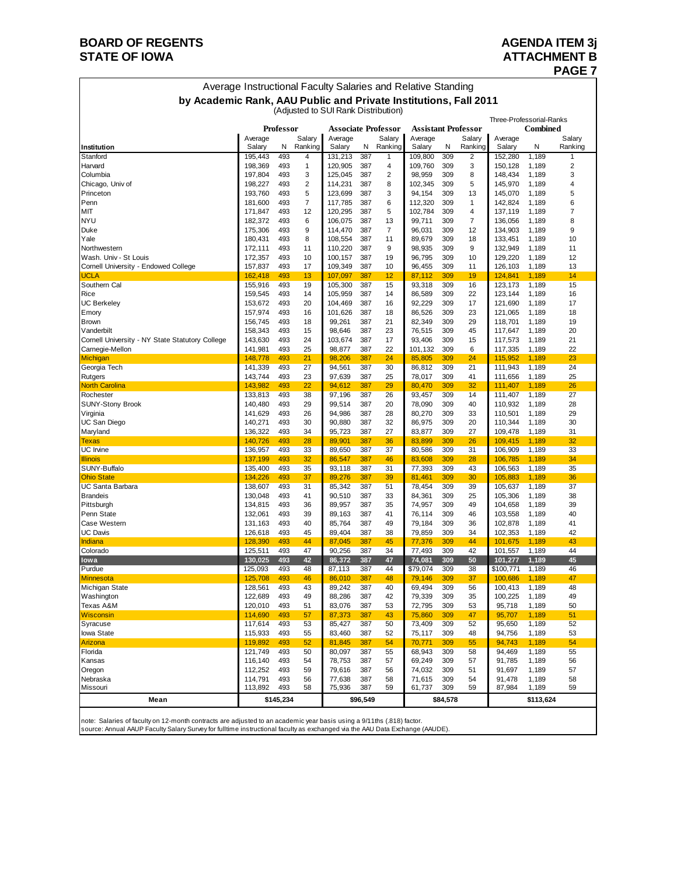## **BOARD OF REGENTS AGENDA ITEM 3j STATE OF IOWA ATTACHMENT B**

## **PAGE 7**

| Average Instructional Faculty Salaries and Relative Standing     |
|------------------------------------------------------------------|
| by Academic Rank, AAU Public and Private Institutions, Fall 2011 |
| (Adjusted to SUI Rank Distribution)                              |

|                                                                    |                    |            |                |                   |            |                            |                            |            |                | Three-Professorial-Ranks |                |                |
|--------------------------------------------------------------------|--------------------|------------|----------------|-------------------|------------|----------------------------|----------------------------|------------|----------------|--------------------------|----------------|----------------|
|                                                                    |                    | Professor  |                |                   |            | <b>Associate Professor</b> | <b>Assistant Professor</b> |            |                |                          | Combined       |                |
|                                                                    | Average            |            | Salary         | Average           |            | Salary                     | Average                    |            | Salary         | Average                  |                | Salary         |
| Institution<br>Stanford                                            | Salary<br>195,443  | N<br>493   | Ranking<br>4   | Salary<br>131,213 | N<br>387   | Ranking<br>1               | Salary<br>109,800          | N<br>309   | Ranking<br>2   | Salary<br>152,280        | N<br>1,189     | Ranking<br>1   |
| Harvard                                                            | 198,369            | 493        | 1              | 120,905           | 387        | 4                          | 109,760                    | 309        | 3              | 150,128                  | 1,189          | $\overline{2}$ |
| Columbia                                                           | 197,804            | 493        | 3              | 125,045           | 387        | 2                          | 98,959                     | 309        | 8              | 148,434                  | 1,189          | 3              |
| Chicago, Univ of                                                   | 198,227            | 493        | $\overline{2}$ | 114,231           | 387        | 8                          | 102,345                    | 309        | 5              | 145,970                  | 1,189          | 4              |
| Princeton                                                          | 193,760            | 493        | 5              | 123,699           | 387        | 3                          | 94,154                     | 309        | 13             | 145,070                  | 1,189          | 5              |
| Penn                                                               | 181,600            | 493        | 7              | 117,785           | 387        | 6                          | 112,320                    | 309        | 1              | 142,824                  | 1,189          | 6              |
| MIT                                                                | 171,847            | 493        | 12             | 120,295           | 387        | 5                          | 102,784                    | 309        | $\overline{4}$ | 137,119                  | 1,189          | 7              |
| <b>NYU</b>                                                         | 182,372            | 493        | 6              | 106,075           | 387        | 13                         | 99,711                     | 309        | $\overline{7}$ | 136,056                  | 1,189          | 8              |
| Duke                                                               | 175,306            | 493        | 9              | 114,470           | 387        | 7                          | 96,031                     | 309        | 12             | 134,903                  | 1,189          | 9              |
| Yale                                                               | 180,431            | 493        | 8              | 108,554           | 387        | 11                         | 89,679                     | 309        | 18             | 133,451                  | 1,189          | 10             |
| Northwestern                                                       | 172,111            | 493        | 11             | 110,220           | 387        | 9                          | 98,935                     | 309        | 9              | 132,949                  | 1,189          | 11             |
| Wash. Univ - St Louis                                              | 172,357            | 493        | 10             | 100,157           | 387        | 19                         | 96,795                     | 309        | 10             | 129,220                  | 1,189          | 12             |
| Cornell University - Endowed College                               | 157,837            | 493        | 17             | 109,349           | 387        | 10                         | 96,455                     | 309        | 11             | 126,103                  | 1,189          | 13             |
| <b>UCLA</b>                                                        | 162,418            | 493        | 13             | 107,097           | 387        | 12                         | 87,112                     | 309        | 19             | 124,841                  | 1,189          | 14             |
| Southern Cal                                                       | 155,916            | 493        | 19             | 105,300           | 387        | 15                         | 93,318                     | 309        | 16             | 123,173                  | 1,189          | 15             |
| Rice                                                               | 159,545            | 493        | 14             | 105,959           | 387        | 14                         | 86,589                     | 309        | 22             | 123,144                  | 1,189          | 16             |
| <b>UC Berkeley</b>                                                 | 153,672            | 493        | 20             | 104,469           | 387        | 16                         | 92,229                     | 309        | 17             | 121,690                  | 1,189          | 17             |
| Emory                                                              | 157,974            | 493        | 16             | 101,626           | 387        | 18                         | 86,526                     | 309        | 23             | 121,065                  | 1,189          | 18             |
| <b>Brown</b>                                                       | 156,745            | 493        | 18             | 99,261            | 387        | 21                         | 82,349                     | 309        | 29             | 118,701                  | 1,189          | 19             |
| Vanderbilt                                                         | 158,343            | 493<br>493 | 15<br>24       | 98,646            | 387<br>387 | 23<br>17                   | 76,515<br>93,406           | 309<br>309 | 45<br>15       | 117,647<br>117,573       | 1,189          | 20<br>21       |
| Cornell University - NY State Statutory College<br>Carnegie-Mellon | 143,630<br>141,981 | 493        | 25             | 103,674<br>98,877 | 387        | 22                         | 101,132                    | 309        | 6              | 117,335                  | 1,189<br>1,189 | 22             |
| Michigan                                                           | 148,778            | 493        | 21             | 98,206            | 387        | 24                         | 85,805                     | 309        | 24             | 115,952                  | 1,189          | 23             |
| Georgia Tech                                                       | 141,339            | 493        | 27             | 94,561            | 387        | 30                         | 86,812                     | 309        | 21             | 111,943                  | 1,189          | 24             |
| Rutgers                                                            | 143,744            | 493        | 23             | 97,639            | 387        | 25                         | 78,017                     | 309        | 41             | 111,656                  | 1,189          | 25             |
| <b>North Carolina</b>                                              | 143,982            | 493        | 22             | 94,612            | 387        | 29                         | 80,470                     | 309        | 32             | 111,407                  | 1,189          | 26             |
| Rochester                                                          | 133,813            | 493        | 38             | 97,196            | 387        | 26                         | 93,457                     | 309        | 14             | 111,407                  | 1,189          | 27             |
| <b>SUNY-Stony Brook</b>                                            | 140,480            | 493        | 29             | 99,514            | 387        | 20                         | 78,090                     | 309        | 40             | 110,932                  | 1,189          | 28             |
| Virginia                                                           | 141,629            | 493        | 26             | 94,986            | 387        | 28                         | 80,270                     | 309        | 33             | 110,501                  | 1,189          | 29             |
| UC San Diego                                                       | 140,271            | 493        | 30             | 90,880            | 387        | 32                         | 86,975                     | 309        | 20             | 110,344                  | 1,189          | 30             |
| Maryland                                                           | 136,322            | 493        | 34             | 95,723            | 387        | 27                         | 83,877                     | 309        | 27             | 109,478                  | 1,189          | 31             |
| <b>Texas</b>                                                       | 140,726            | 493        | 28             | 89,901            | 387        | 36                         | 83,899                     | 309        | 26             | 109,415                  | 1,189          | 32             |
| <b>UC</b> Irvine                                                   | 136,957            | 493        | 33             | 89,650            | 387        | 37                         | 80,586                     | 309        | 31             | 106,909                  | 1,189          | 33             |
| <b>Illinois</b>                                                    | 137,199            | 493        | 32             | 86,547            | 387        | 46                         | 83,608                     | 309        | 28             | 106,785                  | 1,189          | 34             |
| SUNY-Buffalo                                                       | 135,400            | 493        | 35             | 93,118            | 387        | 31                         | 77,393                     | 309        | 43             | 106,563                  | 1,189          | 35             |
| <b>Ohio State</b>                                                  | 134,226            | 493        | 37             | 89,276            | 387        | 39                         | 81,461                     | 309        | 30             | 105,883                  | 1,189          | 36             |
| UC Santa Barbara                                                   | 138,607            | 493        | 31             | 85,342            | 387        | 51                         | 78,454                     | 309        | 39             | 105,637                  | 1,189          | 37             |
| <b>Brandeis</b>                                                    | 130,048            | 493        | 41             | 90,510            | 387        | 33                         | 84,361                     | 309        | 25             | 105,306                  | 1,189          | 38             |
| Pittsburgh                                                         | 134,815            | 493        | 36             | 89,957            | 387        | 35                         | 74,957                     | 309        | 49             | 104,658                  | 1,189          | 39             |
| Penn State<br>Case Western                                         | 132,061            | 493<br>493 | 39<br>40       | 89,163<br>85,764  | 387<br>387 | 41<br>49                   | 76,114<br>79,184           | 309<br>309 | 46<br>36       | 103,558<br>102,878       | 1,189          | 40<br>41       |
| <b>UC Davis</b>                                                    | 131,163<br>126,618 | 493        | 45             | 89,404            | 387        | 38                         | 79,859                     | 309        | 34             | 102,353                  | 1,189<br>1,189 | 42             |
| Indiana                                                            | 128,390            | 493        | 44             | 87,045            | 387        | 45                         | 77,376                     | 309        | 44             | 101,675                  | 1,189          | 43             |
| Colorado                                                           | 125,511            | 493        | 47             | 90,256            | 387        | 34                         | 77,493                     | 309        | 42             | 101,557                  | 1,189          | 44             |
|                                                                    | 130,025            | 493        | 42             | 86,372            | 387        | 47                         | 74,081                     | 309        | 50             | 101,277                  | 1,189          | 45             |
| <b>Iowa</b><br>Purdue                                              | 125,093            | 493        | 48             | 87,113            | 387        | 44                         | \$79,074                   | 309        | 38             | \$100,771                | 1,189          | 46             |
| <b>Minnesota</b>                                                   | 125,708            | 493        | 46             | 86,010            | 387        | 48                         | 79,146                     | 309        | 37             | 100,686                  | 1,189          | 47             |
| Michigan State                                                     | 128,561            | 493        | 43             | 89,242            | 387        | 40                         | 69,494                     | 309        | 56             | 100,413                  | 1,189          | 48             |
| Washington                                                         | 122,689            | 493        | 49             | 88,286            | 387        | 42                         | 79,339                     | 309        | 35             | 100,225                  | 1,189          | 49             |
| Texas A&M                                                          | 120.010            | 493        | 51             | 83,076            | 387        | 53                         | 72,795                     | 309        | 53             | 95,718                   | 1,189          | 50             |
| <b>Wisconsin</b>                                                   | 114,690            | 493        | 57             | 87,373            | 387        | 43                         | 75,860                     | 309        | 47             | 95,707                   | 1,189          | 51             |
| Syracuse                                                           | 117,614            | 493        | 53             | 85,427            | 387        | 50                         | 73,409                     | 309        | 52             | 95,650                   | 1,189          | 52             |
| <b>lowa State</b>                                                  | 115,933            | 493        | 55             | 83,460            | 387        | 52                         | 75,117                     | 309        | 48             | 94,756                   | 1,189          | 53             |
| Arizona                                                            | 119,892            | 493        | 52             | 81,845            | 387        | 54                         | 70,771                     | 309        | 55             | 94,743                   | 1,189          | 54             |
| Florida                                                            | 121,749            | 493        | 50             | 80,097            | 387        | 55                         | 68,943                     | 309        | 58             | 94,469                   | 1,189          | 55             |
| Kansas                                                             | 116,140            | 493        | 54             | 78,753            | 387        | 57                         | 69,249                     | 309        | 57             | 91,785                   | 1,189          | 56             |
| Oregon                                                             | 112,252            | 493        | 59             | 79,616            | 387        | 56                         | 74,032                     | 309        | 51             | 91,697                   | 1,189          | 57             |
| Nebraska                                                           | 114,791            | 493        | 56             | 77,638            | 387        | 58                         | 71,615                     | 309        | 54             | 91,478                   | 1,189          | 58             |
| Missouri                                                           | 113,892            | 493        | 58             | 75,936            | 387        | 59                         | 61,737                     | 309        | 59             | 87,984                   | 1,189          | 59             |
| Mean                                                               |                    | \$145,234  |                |                   | \$96,549   |                            |                            | \$84,578   |                |                          | \$113,624      |                |
|                                                                    |                    |            |                |                   |            |                            |                            |            |                |                          |                |                |

noteː Salaries of facultyon 12-month contracts are adjusted to an academic year basis using a 9/11ths (.818) factor.<br>source: Annual AAUP Faculty Salary Survey for fulltime instructional faculty as exchanged via the AAU Dat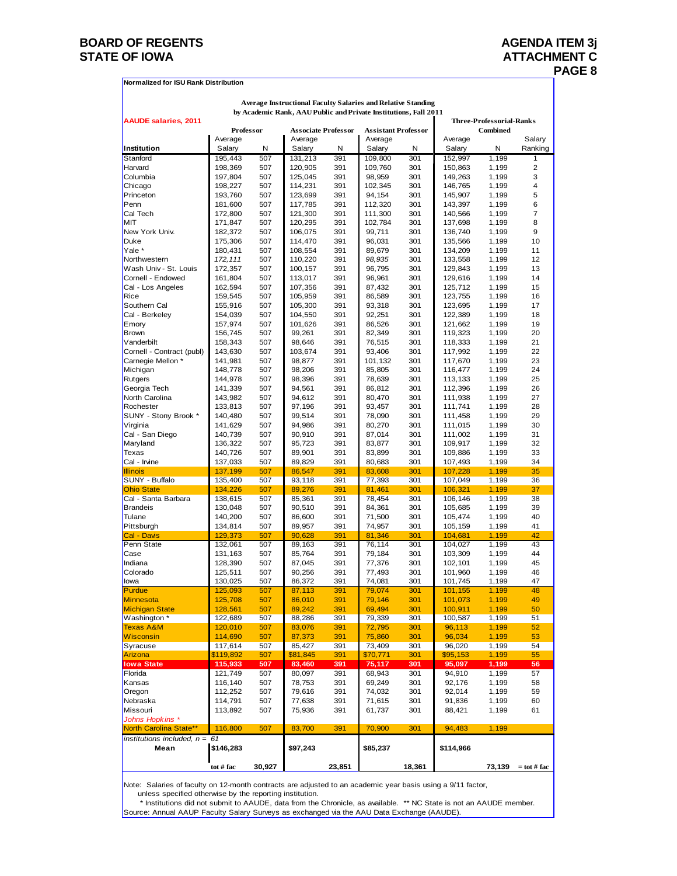## **BOARD OF REGENTS AGENDA ITEM 3j** STATE OF IOWA **ATTACHMENT C**

|                                       |                    |            |                    |                            | <b>Average Instructional Faculty Salaries and Relative Standing</b> |            |                    |                                             |                |
|---------------------------------------|--------------------|------------|--------------------|----------------------------|---------------------------------------------------------------------|------------|--------------------|---------------------------------------------|----------------|
| <b>AAUDE salaries, 2011</b>           |                    |            |                    |                            | by Academic Rank, AAU Public and Private Institutions, Fall 2011    |            |                    |                                             |                |
|                                       | Professor          |            |                    | <b>Associate Professor</b> | <b>Assistant Professor</b>                                          |            |                    | <b>Three-Professorial-Ranks</b><br>Combined |                |
|                                       | Average            |            | Average            |                            | Average                                                             |            | Average            |                                             | Salary         |
| Institution                           | Salary             | Ν          | Salary             | Ν                          | Salary                                                              | Ν          | Salary             | Ν                                           | Ranking        |
| Stanford                              | 195,443            | 507        | 131,213            | 391                        | 109,800                                                             | 301        | 152,997            | 1,199                                       | 1              |
| Harvard                               | 198,369            | 507        | 120.905            | 391                        | 109.760                                                             | 301        | 150,863            | 1,199                                       | $\overline{2}$ |
| Columbia                              | 197,804            | 507        | 125,045            | 391                        | 98,959                                                              | 301        | 149,263            | 1,199                                       | 3              |
| Chicago                               | 198,227            | 507        | 114,231            | 391                        | 102,345                                                             | 301        | 146,765            | 1,199                                       | 4              |
| Princeton                             | 193,760            | 507        | 123,699            | 391                        | 94,154                                                              | 301        | 145,907            | 1,199                                       | 5              |
| Penn<br>Cal Tech                      | 181,600<br>172,800 | 507<br>507 | 117,785<br>121,300 | 391<br>391                 | 112,320<br>111,300                                                  | 301<br>301 | 143,397<br>140,566 | 1,199<br>1,199                              | 6<br>7         |
| MIT                                   | 171,847            | 507        | 120,295            | 391                        | 102,784                                                             | 301        | 137,698            | 1,199                                       | 8              |
| New York Univ.                        | 182,372            | 507        | 106,075            | 391                        | 99,711                                                              | 301        | 136,740            | 1,199                                       | 9              |
| Duke                                  | 175,306            | 507        | 114,470            | 391                        | 96,031                                                              | 301        | 135,566            | 1,199                                       | 10             |
| Yale *                                | 180,431            | 507        | 108,554            | 391                        | 89,679                                                              | 301        | 134,209            | 1,199                                       | 11             |
| Northwestern                          | 172, 111           | 507        | 110,220            | 391                        | 98,935                                                              | 301        | 133,558            | 1,199                                       | 12             |
| Wash Univ - St. Louis                 | 172,357            | 507        | 100,157            | 391                        | 96,795                                                              | 301        | 129,843            | 1,199                                       | 13             |
| Cornell - Endowed                     | 161,804            | 507        | 113,017            | 391                        | 96,961                                                              | 301        | 129,616            | 1,199                                       | 14             |
| Cal - Los Angeles                     | 162,594            | 507        | 107,356            | 391                        | 87,432                                                              | 301        | 125,712            | 1,199                                       | 15             |
| Rice                                  | 159,545            | 507        | 105,959            | 391                        | 86,589                                                              | 301        | 123,755            | 1,199                                       | 16             |
| Southern Cal                          | 155,916            | 507        | 105,300            | 391                        | 93,318                                                              | 301        | 123,695            | 1,199                                       | 17             |
| Cal - Berkelev<br>Emory               | 154,039<br>157,974 | 507<br>507 | 104,550<br>101,626 | 391<br>391                 | 92,251<br>86,526                                                    | 301<br>301 | 122,389<br>121,662 | 1,199<br>1,199                              | 18<br>19       |
| <b>Brown</b>                          | 156,745            | 507        | 99,261             | 391                        | 82,349                                                              | 301        | 119,323            | 1,199                                       | 20             |
| Vanderbilt                            | 158,343            | 507        | 98,646             | 391                        | 76,515                                                              | 301        | 118,333            | 1,199                                       | 21             |
| Cornell - Contract (publ)             | 143,630            | 507        | 103,674            | 391                        | 93,406                                                              | 301        | 117,992            | 1,199                                       | 22             |
| Carnegie Mellon *                     | 141,981            | 507        | 98,877             | 391                        | 101,132                                                             | 301        | 117,670            | 1,199                                       | 23             |
| Michigan                              | 148,778            | 507        | 98,206             | 391                        | 85,805                                                              | 301        | 116,477            | 1,199                                       | 24             |
| Rutgers                               | 144,978            | 507        | 98,396             | 391                        | 78,639                                                              | 301        | 113,133            | 1,199                                       | 25             |
| Georgia Tech                          | 141,339            | 507        | 94,561             | 391                        | 86,812                                                              | 301        | 112,396            | 1,199                                       | 26             |
| North Carolina                        | 143,982            | 507        | 94,612             | 391                        | 80,470                                                              | 301        | 111,938            | 1,199                                       | 27             |
| Rochester                             | 133,813            | 507        | 97,196             | 391                        | 93,457                                                              | 301        | 111,741            | 1,199                                       | 28             |
| SUNY - Stony Brook *<br>Virginia      | 140,480<br>141,629 | 507<br>507 | 99,514<br>94,986   | 391<br>391                 | 78,090<br>80,270                                                    | 301<br>301 | 111,458<br>111,015 | 1,199<br>1,199                              | 29<br>30       |
| Cal - San Diego                       | 140,739            | 507        | 90,910             | 391                        | 87,014                                                              | 301        | 111,002            | 1,199                                       | 31             |
| Maryland                              | 136,322            | 507        | 95,723             | 391                        | 83,877                                                              | 301        | 109,917            | 1,199                                       | 32             |
| Texas                                 | 140,726            | 507        | 89,901             | 391                        | 83,899                                                              | 301        | 109,886            | 1,199                                       | 33             |
| Cal - Irvine                          | 137,033            | 507        | 89,829             | 391                        | 80,683                                                              | 301        | 107,493            | 1,199                                       | 34             |
| <b>Illinois</b>                       | 137,199            | 507        | 86,547             | 391                        | 83,608                                                              | 301        | 107,228            | 1,199                                       | 35             |
| SUNY - Buffalo                        | 135,400            | 507        | 93,118             | 391                        | 77,393                                                              | 301        | 107,049            | 1,199                                       | 36             |
| <b>Ohio State</b>                     | 134,226            | 507        | 89,276             | 391                        | 81,461                                                              | 301        | 106,321            | 1,199                                       | 37             |
| Cal - Santa Barbara                   | 138,615            | 507        | 85,361             | 391                        | 78,454                                                              | 301        | 106,146            | 1,199                                       | 38             |
| <b>Brandeis</b><br>Tulane             | 130,048            | 507<br>507 | 90,510             | 391<br>391                 | 84,361                                                              | 301<br>301 | 105,685            | 1,199                                       | 39<br>40       |
| Pittsburgh                            | 140,200<br>134,814 | 507        | 86,600<br>89,957   | 391                        | 71,500<br>74,957                                                    | 301        | 105,474<br>105,159 | 1,199<br>1,199                              | 41             |
| Cal - Davis                           | 129,373            | 507        | 90,628             | 391                        | 81,346                                                              | 301        | 104,681            | 1,199                                       | 42             |
| Penn State                            | 132,061            | 507        | 89,163             | 391                        | 76,114                                                              | 301        | 104,027            | 1,199                                       | 43             |
| Case                                  | 131,163            | 507        | 85,764             | 391                        | 79,184                                                              | 301        | 103,309            | 1,199                                       | 44             |
| Indiana                               | 128,390            | 507        | 87,045             | 391                        | 77,376                                                              | 301        | 102,101            | 1,199                                       | 45             |
| Colorado                              | 125,511            | 507        | 90,256             | 391                        | 77,493                                                              | 301        | 101,960            | 1,199                                       | 46             |
| lowa                                  | 130,025            | 507        | 86,372             | 391                        | 74,081                                                              | 301        | 101,745            | 1,199                                       | 47             |
| <b>Purdue</b>                         | 125,093            | 507        | 87,113             | 391                        | 79,074                                                              | 301        | 101,155            | 1,199                                       | 48             |
| <b>Minnesota</b>                      | 125,708            | 507        | 86,010             | 391                        | 79,146                                                              | 301        | 101,073            | 1,199                                       | 49             |
| <b>Michigan State</b><br>Washington * | 128,561<br>122,689 | 507<br>507 | 89,242<br>88,286   | 391<br>391                 | 69,494<br>79,339                                                    | 301<br>301 | 100,911<br>100,587 | 1,199<br>1,199                              | 50<br>51       |
| <b>Texas A&amp;M</b>                  | 120,010            | 507        | 83,076             | 391                        | 72,795                                                              | 301        | 96,113             | 1,199                                       | 52             |
| <b>Wisconsin</b>                      | 114,690            | 507        | 87,373             | 391                        | 75,860                                                              | 301        | 96,034             | 1,199                                       | 53             |
| Syracuse                              | 117,614            | 507        | 85,427             | 391                        | 73,409                                                              | 301        | 96,020             | 1,199                                       | 54             |
| Arizona                               | \$119,892          | 507        | \$81,845           | 391                        | \$70,771                                                            | 301        | \$95,153           | 1,199                                       | 55             |
| <b>Iowa State</b>                     | 115,933            | 507        | 83,460             | 391                        | 75,117                                                              | 301        | 95,097             | 1,199                                       | 56             |
| Florida                               | 121,749            | 507        | 80,097             | 391                        | 68,943                                                              | 301        | 94,910             | 1,199                                       | 57             |
| Kansas                                | 116,140            | 507        | 78,753             | 391                        | 69,249                                                              | 301        | 92,176             | 1,199                                       | 58             |
| Oregon                                | 112,252            | 507        | 79,616             | 391                        | 74,032                                                              | 301        | 92,014             | 1,199                                       | 59             |
| Nebraska                              | 114,791            | 507        | 77,638             | 391                        | 71,615                                                              | 301        | 91,836             | 1,199                                       | 60             |
| Missouri<br>Johns Hopkins *           | 113,892            | 507        | 75,936             | 391                        | 61,737                                                              | 301        | 88,421             | 1,199                                       | 61             |
| North Carolina State**                | 116,800            | 507        | 83,700             | 391                        | 70,900                                                              | 301        | 94,483             | 1,199                                       |                |
| institutions included, $n = 61$       |                    |            |                    |                            |                                                                     |            |                    |                                             |                |
| Mean                                  | \$146,283          |            | \$97,243           |                            | \$85,237                                                            |            | \$114,966          |                                             |                |
|                                       |                    |            |                    |                            |                                                                     |            |                    |                                             |                |
|                                       | tot # fac          | 30,927     |                    | 23,851                     |                                                                     | 18,361     |                    | 73,139                                      | $=$ tot # fac  |

Note: Salaries of faculty on 12-month contracts are adjusted to an academic year basis using a 9/11 factor, unless specified otherwise by the reporting institution.

\* Institutions did not submit to AAUDE, data from the Chronicle, as available. \*\* NC State is not an AAUDE member.

Source: Annual AAUP Faculty Salary Surveys as exchanged via the AAU Data Exchange (AAUDE).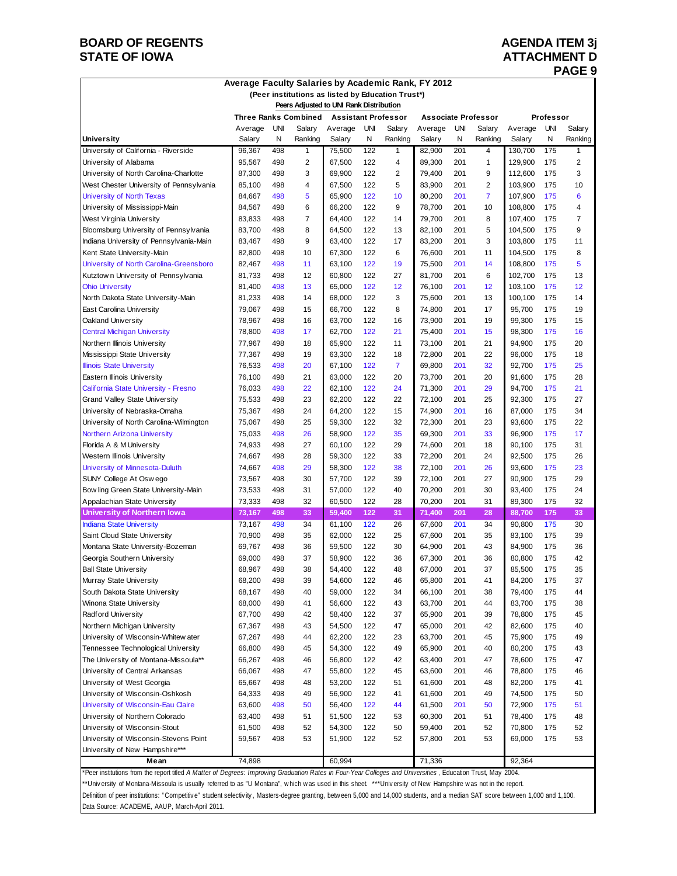## **BOARD OF REGENTS AGENDA ITEM 3j STATE OF IOWA ATTACHMENT D**

# **PAGE 9**

|  |  |  | Average Faculty Salaries by Academic Rank, FY 2012 |  |
|--|--|--|----------------------------------------------------|--|
|--|--|--|----------------------------------------------------|--|

|                                         |         |     | (Peer institutions as listed by Education Trust*) |         |            |                            |         |     |                            |         |            |         |
|-----------------------------------------|---------|-----|---------------------------------------------------|---------|------------|----------------------------|---------|-----|----------------------------|---------|------------|---------|
|                                         |         |     | Peers Adjusted to UNI Rank Distribution           |         |            |                            |         |     |                            |         |            |         |
|                                         |         |     | <b>Three Ranks Combined</b>                       |         |            | <b>Assistant Professor</b> |         |     | <b>Associate Professor</b> |         | Professor  |         |
|                                         | Average | UNI | Salary                                            | Average | <b>UNI</b> | Salarv                     | Average | UNI | Salarv                     | Average | <b>UNI</b> | Salary  |
| <b>University</b>                       | Salary  | Ν   | Ranking                                           | Salary  | N          | Ranking                    | Salary  | N   | Ranking                    | Salary  | N          | Ranking |
| University of California - Riverside    | 96,367  | 498 | 1                                                 | 75,500  | 122        | 1                          | 82,900  | 201 | 4                          | 130,700 | 175        | 1       |
| University of Alabama                   | 95,567  | 498 | $\overline{2}$                                    | 67,500  | 122        | 4                          | 89,300  | 201 | 1                          | 129,900 | 175        | 2       |
| University of North Carolina-Charlotte  | 87,300  | 498 | 3                                                 | 69,900  | 122        | 2                          | 79,400  | 201 | 9                          | 112,600 | 175        | 3       |
| West Chester University of Pennsylvania | 85,100  | 498 | 4                                                 | 67,500  | 122        | 5                          | 83,900  | 201 | $\overline{2}$             | 103,900 | 175        | 10      |
| <b>University of North Texas</b>        | 84,667  | 498 | 5                                                 | 65,900  | 122        | 10                         | 80,200  | 201 | $\overline{7}$             | 107,900 | 175        | 6       |
| University of Mississippi-Main          | 84,567  | 498 | 6                                                 | 66,200  | 122        | 9                          | 78,700  | 201 | 10                         | 108,800 | 175        | 4       |
| West Virginia University                | 83,833  | 498 | $\overline{7}$                                    | 64,400  | 122        | 14                         | 79,700  | 201 | 8                          | 107,400 | 175        | 7       |
| Bloomsburg University of Pennsylvania   | 83,700  | 498 | 8                                                 | 64,500  | 122        | 13                         | 82,100  | 201 | 5                          | 104,500 | 175        | 9       |
| Indiana University of Pennsylvania-Main | 83,467  | 498 | 9                                                 | 63,400  | 122        | 17                         | 83,200  | 201 | 3                          | 103,800 | 175        | 11      |
| Kent State University-Main              | 82,800  | 498 | 10                                                | 67,300  | 122        | 6                          | 76,600  | 201 | 11                         | 104,500 | 175        | 8       |
| University of North Carolina-Greensboro | 82,467  | 498 | 11                                                | 63,100  | 122        | 19                         | 75,500  | 201 | 14                         | 108,800 | 175        | 5       |
| Kutztown University of Pennsylvania     | 81,733  | 498 | 12                                                | 60,800  | 122        | 27                         | 81,700  | 201 | 6                          | 102,700 | 175        | 13      |
| <b>Ohio University</b>                  | 81,400  | 498 | 13                                                | 65,000  | 122        | 12                         | 76,100  | 201 | 12                         | 103,100 | 175        | 12      |
| North Dakota State University-Main      | 81,233  | 498 | 14                                                | 68,000  | 122        | 3                          | 75,600  | 201 | 13                         | 100,100 | 175        | 14      |
| <b>East Carolina University</b>         | 79,067  | 498 | 15                                                | 66,700  | 122        | 8                          | 74,800  | 201 | 17                         | 95,700  | 175        | 19      |
| Oakland University                      | 78,967  | 498 | 16                                                | 63,700  | 122        | 16                         | 73,900  | 201 | 19                         | 99,300  | 175        | 15      |
| <b>Central Michigan University</b>      | 78,800  | 498 | 17                                                | 62,700  | 122        | 21                         | 75,400  | 201 | 15                         | 98,300  | 175        | 16      |
| Northern Illinois University            | 77,967  | 498 | 18                                                | 65,900  | 122        | 11                         | 73,100  | 201 | 21                         | 94,900  | 175        | 20      |
| Mississippi State University            | 77,367  | 498 | 19                                                | 63,300  | 122        | 18                         | 72,800  | 201 | 22                         | 96,000  | 175        | 18      |
| <b>Illinois State University</b>        | 76,533  | 498 | 20                                                | 67,100  | 122        | $\overline{7}$             | 69,800  | 201 | 32                         | 92,700  | 175        | 25      |
| Eastern Illinois University             | 76,100  | 498 | 21                                                | 63,000  | 122        | 20                         | 73,700  | 201 | 20                         | 91,600  | 175        | 28      |
| California State University - Fresno    | 76,033  | 498 | 22                                                | 62,100  | 122        | 24                         | 71,300  | 201 | 29                         | 94,700  | 175        | 21      |
| <b>Grand Valley State University</b>    | 75,533  | 498 | 23                                                | 62,200  | 122        | 22                         | 72,100  | 201 | 25                         | 92,300  | 175        | 27      |
| University of Nebraska-Omaha            | 75,367  | 498 | 24                                                | 64,200  | 122        | 15                         | 74,900  | 201 | 16                         | 87,000  | 175        | 34      |
| University of North Carolina-Wilmington | 75,067  | 498 | 25                                                | 59,300  | 122        | 32                         | 72,300  | 201 | 23                         | 93,600  | 175        | 22      |
| <b>Northern Arizona University</b>      | 75,033  | 498 | 26                                                | 58,900  | 122        | 35                         | 69,300  | 201 | 33                         | 96,900  | 175        | 17      |
| Florida A & M University                | 74,933  | 498 | 27                                                | 60,100  | 122        | 29                         | 74,600  | 201 | 18                         | 90,100  | 175        | 31      |
| Western Illinois University             | 74,667  | 498 | 28                                                | 59,300  | 122        | 33                         | 72,200  | 201 | 24                         | 92,500  | 175        | 26      |
| University of Minnesota-Duluth          | 74,667  | 498 | 29                                                | 58,300  | 122        | 38                         | 72,100  | 201 | 26                         | 93,600  | 175        | 23      |
| SUNY College At Oswego                  | 73,567  | 498 | 30                                                | 57,700  | 122        | 39                         | 72,100  | 201 | 27                         | 90,900  | 175        | 29      |
| Bow ling Green State University-Main    | 73,533  | 498 | 31                                                | 57,000  | 122        | 40                         | 70,200  | 201 | 30                         | 93,400  | 175        | 24      |
| Appalachian State University            | 73,333  | 498 | 32                                                | 60,500  | 122        | 28                         | 70,200  | 201 | 31                         | 89,300  | 175        | 32      |
| <b>University of Northern lowa</b>      | 73,167  | 498 | 33                                                | 59,400  | 122        | 31                         | 71,400  | 201 | 28                         | 88,700  | 175        | 33      |
| <b>Indiana State University</b>         | 73.167  | 498 | 34                                                | 61,100  | 122        | 26                         | 67,600  | 201 | 34                         | 90,800  | 175        | 30      |
| Saint Cloud State University            | 70,900  | 498 | 35                                                | 62,000  | 122        | 25                         | 67,600  | 201 | 35                         | 83,100  | 175        | 39      |
| Montana State University-Bozeman        | 69,767  | 498 | 36                                                | 59,500  | 122        | 30                         | 64,900  | 201 | 43                         | 84,900  | 175        | 36      |
| Georgia Southern University             | 69,000  | 498 | 37                                                | 58,900  | 122        | 36                         | 67,300  | 201 | 36                         | 80,800  | 175        | 42      |
| <b>Ball State University</b>            | 68,967  | 498 | 38                                                | 54,400  | 122        | 48                         | 67,000  | 201 | 37                         | 85,500  | 175        | 35      |
| Murray State University                 | 68,200  | 498 | 39                                                | 54,600  | 122        | 46                         | 65,800  | 201 | 41                         | 84,200  | 175        | 37      |
| South Dakota State University           | 68,167  | 498 | 40                                                | 59,000  | 122        | 34                         | 66,100  | 201 | 38                         | 79,400  | 175        | 44      |
| Winona State University                 | 68,000  | 498 | 41                                                | 56,600  | 122        | 43                         | 63,700  | 201 | 44                         | 83,700  | 175        | 38      |
| Radford University                      | 67,700  | 498 | 42                                                | 58,400  | 122        | 37                         | 65,900  | 201 | 39                         | 78,800  | 175        | 45      |
| Northern Michigan University            | 67,367  | 498 | 43                                                | 54,500  | 122        | 47                         | 65,000  | 201 | 42                         | 82,600  | 175        | 40      |
| University of Wisconsin-Whitew ater     | 67,267  | 498 | 44                                                | 62,200  | 122        | 23                         | 63,700  | 201 | 45                         | 75,900  | 175        | 49      |
| Tennessee Technological University      | 66,800  | 498 | 45                                                | 54,300  | 122        | 49                         | 65,900  | 201 | 40                         | 80,200  | 175        | 43      |
| The University of Montana-Missoula**    | 66,267  | 498 | 46                                                | 56,800  | 122        | 42                         | 63,400  | 201 | 47                         | 78,600  | 175        | 47      |
| University of Central Arkansas          | 66,067  | 498 | 47                                                | 55,800  | 122        | 45                         | 63,600  | 201 | 46                         | 78,800  | 175        | 46      |
| University of West Georgia              | 65,667  | 498 | 48                                                | 53,200  | 122        | 51                         | 61,600  | 201 | 48                         | 82,200  | 175        | 41      |
| University of Wisconsin-Oshkosh         | 64,333  | 498 | 49                                                | 56,900  | 122        | 41                         | 61,600  | 201 | 49                         | 74,500  | 175        | 50      |
| University of Wisconsin-Eau Claire      | 63,600  | 498 | 50                                                | 56,400  | 122        | 44                         | 61,500  | 201 | 50                         | 72,900  | 175        | 51      |
| University of Northern Colorado         | 63,400  | 498 | 51                                                | 51,500  | 122        | 53                         | 60,300  | 201 | 51                         | 78,400  | 175        | 48      |
| University of Wisconsin-Stout           | 61,500  | 498 | 52                                                | 54,300  | 122        | 50                         | 59,400  | 201 | 52                         | 70,800  | 175        | 52      |
| University of Wisconsin-Stevens Point   | 59,567  | 498 | 53                                                | 51,900  | 122        | 52                         | 57,800  | 201 | 53                         | 69,000  | 175        | 53      |
| University of New Hampshire***          |         |     |                                                   |         |            |                            |         |     |                            | 92,364  |            |         |
| Mean                                    | 74,898  |     |                                                   | 60,994  |            |                            | 71,336  |     |                            |         |            |         |

\*Peer institutions from the report titled *A Matter of Degrees: Improving Graduation Rates in Four-Year Colleges and Universities* , Education Trust, May 2004. \*\*University of Montana-Missoula is usually referred to as "U Montana", which was used in this sheet. \*\*\*University of New Hampshire was not in the report. Definition of peer institutions: "Competitive" student selectivity, Masters-degree granting, betw een 5,000 and 14,000 students, and a median SAT score betw een 1,000 and 1,100. Data Source: ACADEME, AAUP, March-April 2011.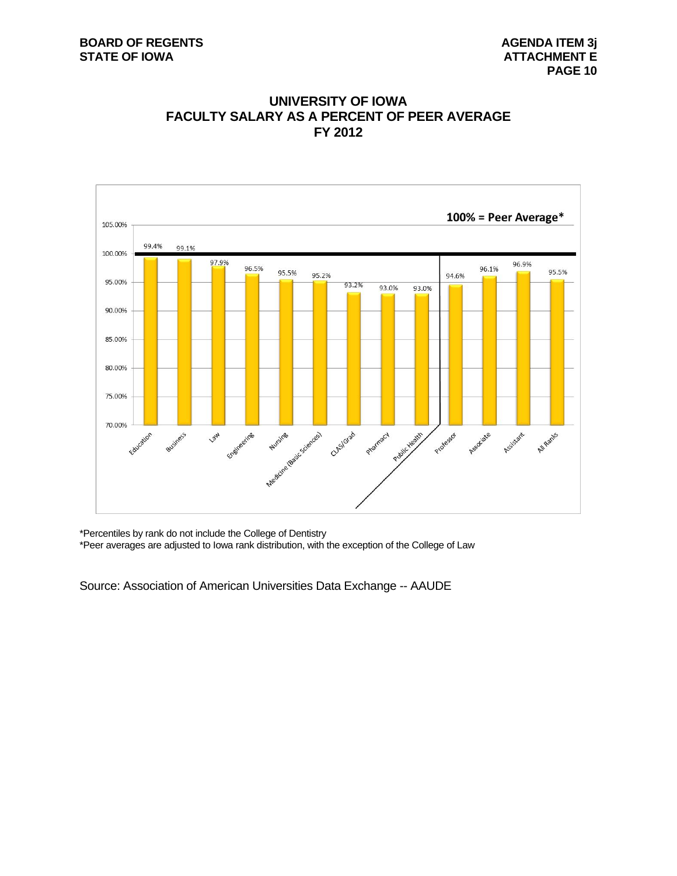



\*Percentiles by rank do not include the College of Dentistry

\*Peer averages are adjusted to Iowa rank distribution, with the exception of the College of Law

Source: Association of American Universities Data Exchange -- AAUDE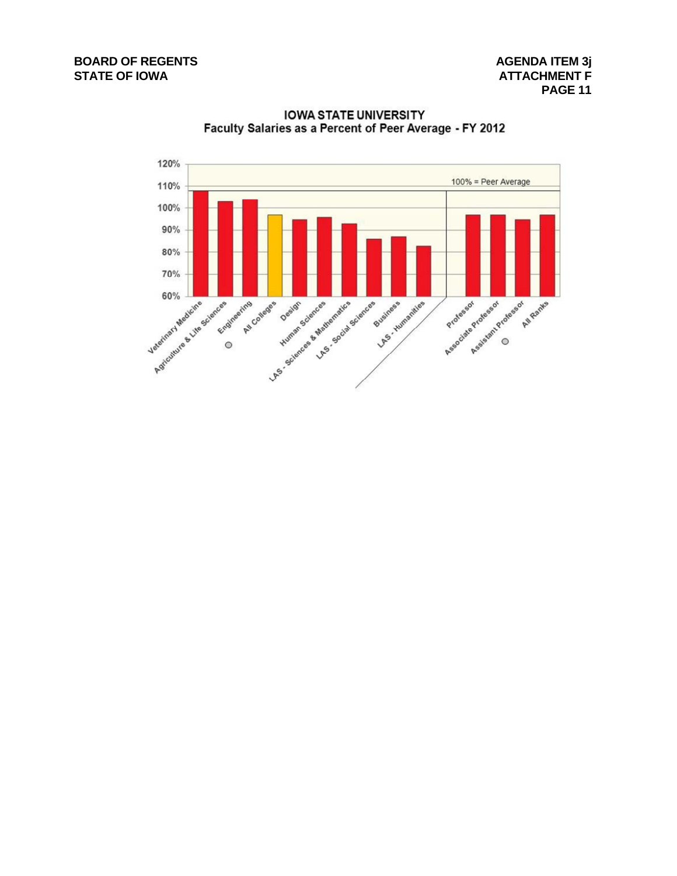

**IOWA STATE UNIVERSITY** Faculty Salaries as a Percent of Peer Average - FY 2012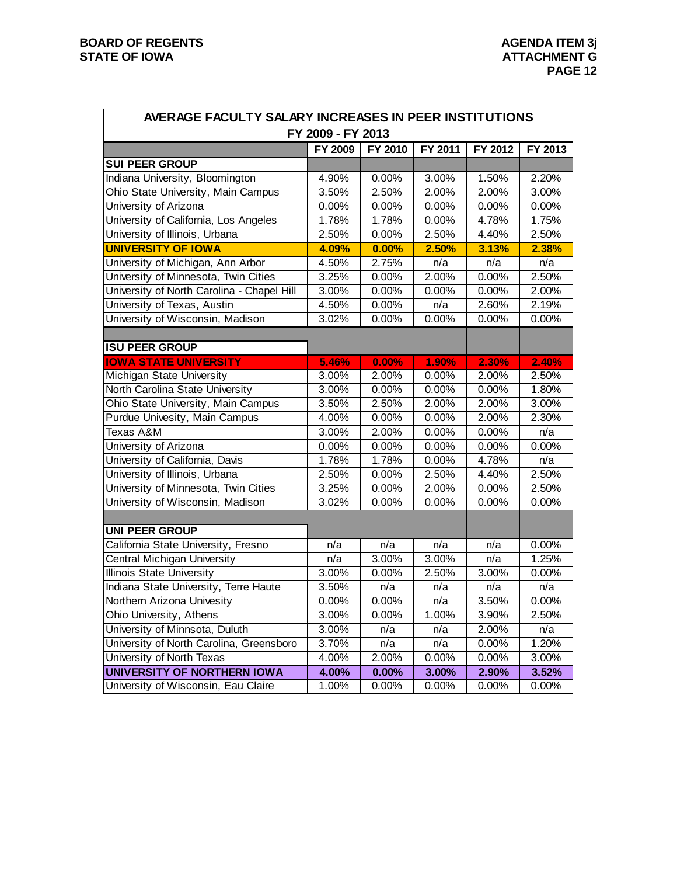| AVERAGE FACULTY SALARY INCREASES IN PEER INSTITUTIONS |                   |          |         |          |          |
|-------------------------------------------------------|-------------------|----------|---------|----------|----------|
|                                                       | FY 2009 - FY 2013 |          |         |          |          |
|                                                       | FY 2009           | FY 2010  | FY 2011 | FY 2012  | FY 2013  |
| <b>SUI PEER GROUP</b>                                 |                   |          |         |          |          |
| Indiana University, Bloomington                       | 4.90%             | 0.00%    | 3.00%   | 1.50%    | 2.20%    |
| Ohio State University, Main Campus                    | 3.50%             | 2.50%    | 2.00%   | 2.00%    | 3.00%    |
| University of Arizona                                 | 0.00%             | 0.00%    | 0.00%   | 0.00%    | 0.00%    |
| University of California, Los Angeles                 | 1.78%             | 1.78%    | 0.00%   | 4.78%    | 1.75%    |
| University of Illinois, Urbana                        | 2.50%             | 0.00%    | 2.50%   | 4.40%    | 2.50%    |
| <b>UNIVERSITY OF IOWA</b>                             | 4.09%             | 0.00%    | 2.50%   | 3.13%    | 2.38%    |
| University of Michigan, Ann Arbor                     | 4.50%             | 2.75%    | n/a     | n/a      | n/a      |
| University of Minnesota, Twin Cities                  | 3.25%             | 0.00%    | 2.00%   | 0.00%    | 2.50%    |
| University of North Carolina - Chapel Hill            | 3.00%             | 0.00%    | 0.00%   | 0.00%    | 2.00%    |
| University of Texas, Austin                           | 4.50%             | 0.00%    | n/a     | 2.60%    | 2.19%    |
| University of Wisconsin, Madison                      | 3.02%             | 0.00%    | 0.00%   | 0.00%    | 0.00%    |
|                                                       |                   |          |         |          |          |
| <b>ISU PEER GROUP</b>                                 |                   |          |         |          |          |
| <b>IOWA STATE UNIVERSITY</b>                          | 5.46%             | 0.00%    | 1.90%   | 2.30%    | 2.40%    |
| Michigan State University                             | 3.00%             | 2.00%    | 0.00%   | 2.00%    | 2.50%    |
| North Carolina State University                       | 3.00%             | 0.00%    | 0.00%   | 0.00%    | 1.80%    |
| Ohio State University, Main Campus                    | 3.50%             | 2.50%    | 2.00%   | 2.00%    | 3.00%    |
| <b>Purdue Univesity, Main Campus</b>                  | 4.00%             | 0.00%    | 0.00%   | 2.00%    | 2.30%    |
| Texas A&M                                             | 3.00%             | 2.00%    | 0.00%   | 0.00%    | n/a      |
| University of Arizona                                 | 0.00%             | 0.00%    | 0.00%   | 0.00%    | 0.00%    |
| University of California, Davis                       | 1.78%             | 1.78%    | 0.00%   | 4.78%    | n/a      |
| University of Illinois, Urbana                        | 2.50%             | 0.00%    | 2.50%   | 4.40%    | 2.50%    |
| University of Minnesota, Twin Cities                  | 3.25%             | 0.00%    | 2.00%   | 0.00%    | 2.50%    |
| University of Wisconsin, Madison                      | 3.02%             | 0.00%    | 0.00%   | 0.00%    | 0.00%    |
|                                                       |                   |          |         |          |          |
| <b>UNI PEER GROUP</b>                                 |                   |          |         |          |          |
| California State University, Fresno                   | n/a               | n/a      | n/a     | n/a      | 0.00%    |
| Central Michigan University                           | n/a               | 3.00%    | 3.00%   | n/a      | 1.25%    |
| <b>Illinois State University</b>                      | 3.00%             | 0.00%    | 2.50%   | 3.00%    | 0.00%    |
| Indiana State University, Terre Haute                 | 3.50%             | n/a      | n/a     | n/a      | n/a      |
| Northern Arizona Univesity                            | $0.00\%$          | $0.00\%$ | n/a     | 3.50%    | $0.00\%$ |
| Ohio University, Athens                               | 3.00%             | 0.00%    | 1.00%   | 3.90%    | 2.50%    |
| University of Minnsota, Duluth                        | 3.00%             | n/a      | n/a     | 2.00%    | n/a      |
| University of North Carolina, Greensboro              | 3.70%             | n/a      | n/a     | 0.00%    | 1.20%    |
| University of North Texas                             | 4.00%             | 2.00%    | 0.00%   | 0.00%    | 3.00%    |
| UNIVERSITY OF NORTHERN IOWA                           | 4.00%             | 0.00%    | 3.00%   | 2.90%    | 3.52%    |
| University of Wisconsin, Eau Claire                   | 1.00%             | 0.00%    | 0.00%   | $0.00\%$ | 0.00%    |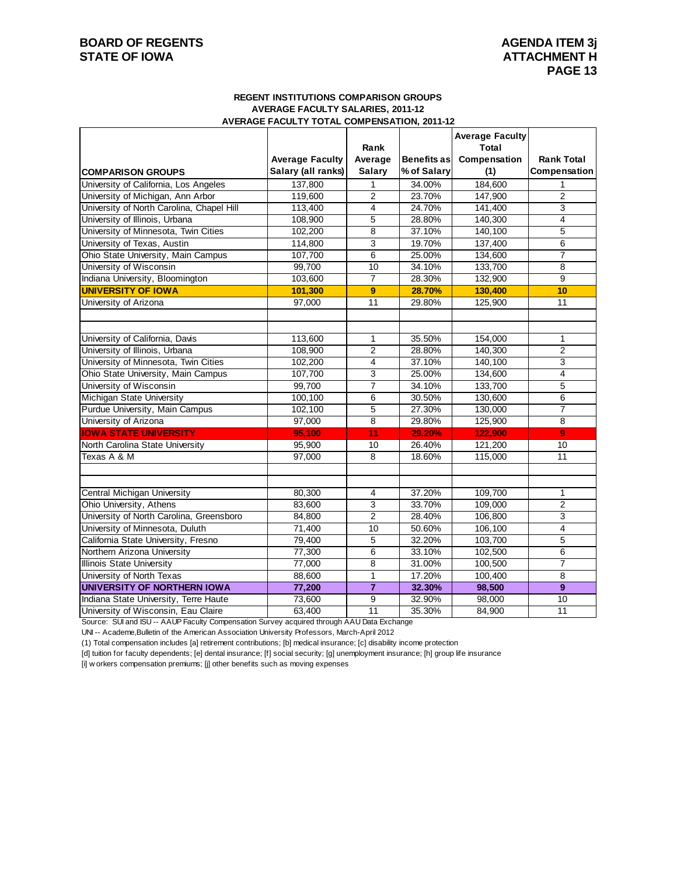## **BOARD OF REGENTS AGENDA ITEM 3j STATE OF IOWA ATTACHMENT H**

#### **REGENT INSTITUTIONS COMPARISON GROUPS AVERAGE FACULTY SALARIES, 2011-12 AVERAGE FACULTY TOTAL COMPENSATION, 2011-12**

|                                           |                        | Rank           |             | <b>Average Faculty</b><br>Total |                   |
|-------------------------------------------|------------------------|----------------|-------------|---------------------------------|-------------------|
|                                           | <b>Average Faculty</b> | Average        | Benefits as | Compensation                    | <b>Rank Total</b> |
| <b>COMPARISON GROUPS</b>                  | Salary (all ranks)     | <b>Salary</b>  | % of Salary | (1)                             | Compensation      |
| University of California, Los Angeles     | 137,800                | 1              | 34.00%      | 184,600                         |                   |
| University of Michigan, Ann Arbor         | 119,600                | $\overline{2}$ | 23.70%      | 147,900                         | $\overline{2}$    |
| University of North Carolina, Chapel Hill | 113,400                | $\overline{4}$ | 24.70%      | 141.400                         | 3                 |
| University of Illinois, Urbana            | 108,900                | 5              | 28.80%      | 140,300                         | $\overline{4}$    |
| University of Minnesota, Twin Cities      | 102,200                | 8              | 37.10%      | 140,100                         | 5                 |
| University of Texas, Austin               | 114,800                | 3              | 19.70%      | 137,400                         | 6                 |
| Ohio State University, Main Campus        | 107,700                | 6              | 25.00%      | 134,600                         | $\overline{7}$    |
| University of Wisconsin                   | 99,700                 | 10             | 34.10%      | 133,700                         | 8                 |
| Indiana University, Bloomington           | 103,600                | $\overline{7}$ | 28.30%      | 132,900                         | 9                 |
| <b>UNIVERSITY OF IOWA</b>                 | 101,300                | 9              | 28.70%      | 130,400                         | 10                |
| University of Arizona                     | 97,000                 | 11             | 29.80%      | 125,900                         | 11                |
|                                           |                        |                |             |                                 |                   |
|                                           |                        |                |             |                                 |                   |
| University of California, Davis           | 113,600                | 1              | 35.50%      | 154,000                         | $\mathbf{1}$      |
| University of Illinois, Urbana            | 108,900                | $\overline{2}$ | 28.80%      | 140,300                         | $\overline{2}$    |
| University of Minnesota, Twin Cities      | 102,200                | $\overline{4}$ | 37.10%      | 140,100                         | 3                 |
| Ohio State University, Main Campus        | 107,700                | 3              | 25.00%      | 134,600                         | 4                 |
| University of Wisconsin                   | 99.700                 | $\overline{7}$ | 34.10%      | 133.700                         | 5                 |
| Michigan State University                 | 100,100                | 6              | 30.50%      | 130,600                         | 6                 |
| Purdue University, Main Campus            | 102,100                | 5              | 27.30%      | 130,000                         | $\overline{7}$    |
| University of Arizona                     | 97,000                 | 8              | 29.80%      | 125,900                         | 8                 |
| <b>IOWA STATE UNIVERSITY</b>              | 95.100                 | 11             | 29.20%      | 122,900                         | $\overline{9}$    |
| North Carolina State University           | 95,900                 | 10             | 26.40%      | 121,200                         | 10                |
| Texas A & M                               | 97,000                 | 8              | 18.60%      | 115,000                         | 11                |
|                                           |                        |                |             |                                 |                   |
|                                           |                        |                |             |                                 |                   |
| Central Michigan University               | 80,300                 | 4              | 37.20%      | 109,700                         | $\mathbf{1}$      |
| Ohio University, Athens                   | 83.600                 | 3              | 33.70%      | 109.000                         | $\overline{2}$    |
| University of North Carolina, Greensboro  | 84,800                 | $\overline{2}$ | 28.40%      | 106,800                         | 3                 |
| University of Minnesota, Duluth           | 71,400                 | 10             | 50.60%      | 106,100                         | $\overline{4}$    |
| California State University, Fresno       | 79,400                 | 5              | 32.20%      | 103,700                         | 5                 |
| Northern Arizona University               | 77,300                 | 6              | 33.10%      | 102,500                         | 6                 |
| <b>Illinois State University</b>          | 77,000                 | $\overline{8}$ | 31.00%      | 100.500                         | $\overline{7}$    |
| University of North Texas                 | 88,600                 | 1              | 17.20%      | 100,400                         | 8                 |
| UNIVERSITY OF NORTHERN IOWA               | 77,200                 | $\overline{7}$ | 32.30%      | 98,500                          | $\overline{9}$    |
| Indiana State University, Terre Haute     | 73,600                 | 9              | 32.90%      | 98,000                          | 10                |
| University of Wisconsin, Eau Claire       | 63,400                 | 11             | 35.30%      | 84,900                          | 11                |

Source: SUI and ISU -- AAUP Faculty Compensation Survey acquired through AAU Data Exchange

UNI -- Academe,Bulletin of the American Association University Professors, March-April 2012

(1) Total compensation includes [a] retirement contributions; [b] medical insurance; [c] disability income protection

[d] tuition for faculty dependents; [e] dental insurance; [f] social security; [g] unemployment insurance; [h] group life insurance

[i] w orkers compensation premiums; [j] other benefits such as moving expenses